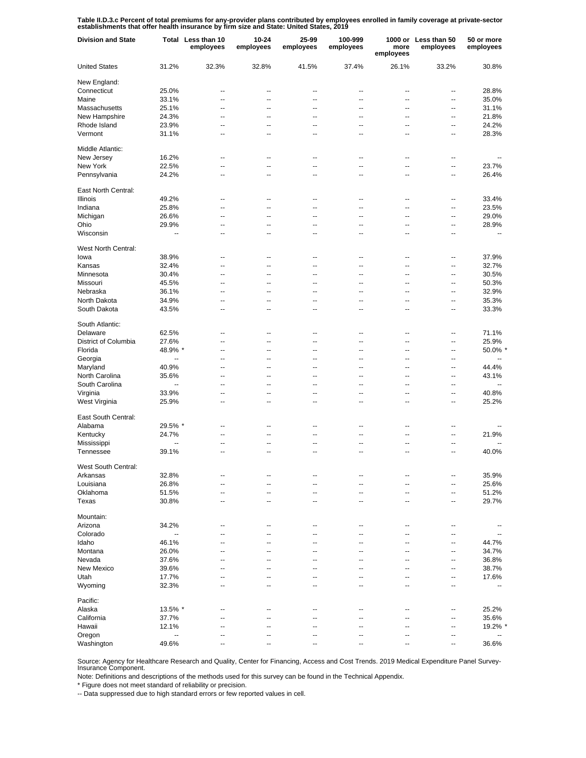Table II.D.3.c Percent of total premiums for any-provider plans contributed by employees enrolled in family coverage at private-sector<br>establishments that offer health insurance by firm size and State: United States, 2019

| <b>Division and State</b> |                          | Total Less than 10<br>employees | 10-24<br>employees | 25-99<br>employees | 100-999<br>employees | more<br>employees | 1000 or Less than 50<br>employees | 50 or more<br>employees  |
|---------------------------|--------------------------|---------------------------------|--------------------|--------------------|----------------------|-------------------|-----------------------------------|--------------------------|
| <b>United States</b>      | 31.2%                    | 32.3%                           | 32.8%              | 41.5%              | 37.4%                | 26.1%             | 33.2%                             | 30.8%                    |
| New England:              |                          |                                 |                    |                    |                      |                   |                                   |                          |
| Connecticut               | 25.0%                    | --                              | --                 | ٠.                 | --                   | --                | --                                | 28.8%                    |
| Maine                     | 33.1%                    | $\overline{a}$                  | --                 | $\overline{a}$     | $\overline{a}$       | $\overline{a}$    | --                                | 35.0%                    |
| Massachusetts             | 25.1%                    | $\overline{a}$                  | --                 | $\overline{a}$     | $\overline{a}$       | $\overline{a}$    | --                                | 31.1%                    |
| New Hampshire             | 24.3%                    | $\overline{a}$                  | --                 | --                 | --                   | --                | --                                | 21.8%                    |
| Rhode Island              | 23.9%                    | $\overline{a}$                  | --                 | $\overline{a}$     | $\overline{a}$       | $\overline{a}$    | --                                | 24.2%                    |
| Vermont                   | 31.1%                    | --                              | --                 | ٠.                 | --                   | --                | ۰.                                | 28.3%                    |
| Middle Atlantic:          |                          |                                 |                    |                    |                      |                   |                                   |                          |
| New Jersey                | 16.2%                    | $\overline{a}$                  | --                 | $\overline{a}$     | $\overline{a}$       | $\overline{a}$    | $\overline{a}$                    | $\overline{a}$           |
| New York                  | 22.5%                    | $\overline{a}$                  | Ξ.                 | Ξ.                 | Ξ.                   | ä.                | Ξ.                                | 23.7%                    |
| Pennsylvania              | 24.2%                    | $\overline{a}$                  | --                 | $\overline{a}$     | $\overline{a}$       | $\overline{a}$    | Ξ.                                | 26.4%                    |
| East North Central:       |                          |                                 |                    |                    |                      |                   |                                   |                          |
| Illinois                  | 49.2%                    | --                              | --                 | --                 | --                   | --                | --                                | 33.4%                    |
| Indiana                   | 25.8%                    | --                              | --                 | ٠.                 | --                   | --                | --                                | 23.5%                    |
| Michigan                  | 26.6%                    | --                              | --                 | ٠.                 | --                   | --                | --                                | 29.0%                    |
| Ohio                      | 29.9%                    | --                              | --                 | --                 | --                   | --                | --                                | 28.9%                    |
| Wisconsin                 | --                       | $\overline{a}$                  | --                 | $\overline{a}$     | $\overline{a}$       | $\overline{a}$    | ٠.                                | --                       |
|                           |                          |                                 |                    |                    |                      |                   |                                   |                          |
| West North Central:       |                          |                                 |                    |                    |                      |                   |                                   |                          |
| lowa                      | 38.9%                    | $\overline{a}$                  | --                 | $\overline{a}$     | --                   | --                | --                                | 37.9%                    |
| Kansas                    | 32.4%                    | $\overline{a}$                  | --                 | $\overline{a}$     | $\overline{a}$       | $\overline{a}$    | --                                | 32.7%                    |
| Minnesota                 | 30.4%                    | $\overline{a}$                  | --                 | $\overline{a}$     | $\overline{a}$       | $\overline{a}$    | --                                | 30.5%                    |
| Missouri                  | 45.5%                    | $\overline{a}$                  | --                 | --                 | --                   | --                | --                                | 50.3%                    |
| Nebraska                  | 36.1%                    | $\overline{a}$                  | --                 | $\overline{a}$     | $\overline{a}$       | $\overline{a}$    | --                                | 32.9%                    |
| North Dakota              | 34.9%                    | --                              | --                 | ٠.                 | --                   | --                | --                                | 35.3%                    |
| South Dakota              | 43.5%                    | $\overline{a}$                  | --                 | $\overline{a}$     | $\overline{a}$       | $\overline{a}$    | ٠.                                | 33.3%                    |
| South Atlantic:           |                          |                                 |                    |                    |                      |                   |                                   |                          |
| Delaware                  | 62.5%                    | $\overline{a}$                  | --                 | $\overline{a}$     | $\overline{a}$       | $\overline{a}$    | ц,                                | 71.1%                    |
|                           |                          | $\overline{a}$                  | Ξ.                 | Ξ.                 | Ξ.                   | $\overline{a}$    | Ξ.                                |                          |
| District of Columbia      | 27.6%                    |                                 |                    |                    |                      |                   |                                   | 25.9%                    |
| Florida                   | 48.9% *                  | $\overline{a}$                  | --                 | $\overline{a}$     | $\overline{a}$       | $\overline{a}$    | $\overline{a}$                    | 50.0% *                  |
| Georgia                   | --                       | $\overline{a}$                  | --                 | $\overline{a}$     | $\overline{a}$       | $\overline{a}$    | $\overline{a}$                    | $\overline{\phantom{a}}$ |
| Maryland                  | 40.9%                    | $\overline{a}$                  | --                 | $\overline{a}$     | $\overline{a}$       | $\overline{a}$    | $\overline{a}$                    | 44.4%                    |
| North Carolina            | 35.6%                    | $\overline{a}$                  | --                 | $\overline{a}$     | $\overline{a}$       | $\overline{a}$    | $\overline{a}$                    | 43.1%                    |
| South Carolina            | $\overline{\phantom{a}}$ | $\overline{a}$                  | --                 | $\overline{a}$     | $\overline{a}$       | $\overline{a}$    | $\overline{a}$                    | $\overline{a}$           |
| Virginia                  | 33.9%                    | $\overline{a}$                  | --                 | $\overline{a}$     | $\overline{a}$       | $\overline{a}$    | $\overline{a}$                    | 40.8%                    |
| West Virginia             | 25.9%                    | $\overline{a}$                  | --                 | $\overline{a}$     | $\overline{a}$       | $\overline{a}$    | ٠.                                | 25.2%                    |
| East South Central:       |                          |                                 |                    |                    |                      |                   |                                   |                          |
| Alabama                   | 29.5% *                  | --                              | --                 | ٠.                 | --                   | --                | --                                |                          |
| Kentucky                  | 24.7%                    | $\overline{a}$                  | --                 | $\overline{a}$     | $\overline{a}$       | --                | --                                | 21.9%                    |
| Mississippi               | --                       | --                              | --                 | --                 | --                   | --                | --                                |                          |
| Tennessee                 | 39.1%                    | $\overline{a}$                  | --                 | $\overline{a}$     | $\overline{a}$       | $\overline{a}$    | --                                | 40.0%                    |
| West South Central:       |                          |                                 |                    |                    |                      |                   |                                   |                          |
| Arkansas                  | 32.8%                    | --                              | --                 | --                 |                      |                   | ۰.                                | 35.9%                    |
| Louisiana                 | 26.8%                    | --                              | --                 | ٠.                 | --                   | ц.                | ۰.                                | 25.6%                    |
| Oklahoma                  | 51.5%                    | --                              | --                 | --                 | --                   | --                | --                                | 51.2%                    |
| Texas                     | 30.8%                    | --                              | --                 | --                 | --                   | --                | ۰.                                | 29.7%                    |
|                           |                          |                                 |                    |                    |                      |                   |                                   |                          |
| Mountain:                 |                          |                                 |                    |                    |                      |                   |                                   |                          |
| Arizona                   | 34.2%                    | $\overline{a}$                  | --                 | $\overline{a}$     | $\overline{a}$       | $\overline{a}$    | $\overline{a}$                    |                          |
| Colorado                  | --                       | $\overline{a}$                  | --                 | $\overline{a}$     | $\overline{a}$       | $\overline{a}$    | $\overline{a}$                    | $\overline{\phantom{a}}$ |
| Idaho                     | 46.1%                    | --                              | --                 | --                 | --                   | --                | $\overline{a}$                    | 44.7%                    |
| Montana                   | 26.0%                    | --                              | --                 | --                 | --                   | --                | --                                | 34.7%                    |
| Nevada                    | 37.6%                    | --                              | --                 | --                 | --                   | --                | $\overline{a}$                    | 36.8%                    |
| New Mexico                | 39.6%                    | --                              | --                 | --                 | --                   | --                | $\overline{a}$                    | 38.7%                    |
| Utah                      | 17.7%                    | --                              | --                 | --                 | --                   | --                | $\overline{a}$                    | 17.6%                    |
| Wyoming                   | 32.3%                    | $\overline{a}$                  | --                 | $\overline{a}$     | $\overline{a}$       | $\overline{a}$    | $\overline{a}$                    | Ξ.                       |
| Pacific:                  |                          |                                 |                    |                    |                      |                   |                                   |                          |
| Alaska                    | 13.5% *                  | --                              | --                 | ٠.                 | --                   | --                | --                                | 25.2%                    |
| California                | 37.7%                    | ۵.                              | -−                 | ц.                 | ۵.                   | ц,                | --                                | 35.6%                    |
| Hawaii                    | 12.1%                    | --                              | --                 | ٠.                 | --                   | --                | --                                | 19.2% *                  |
| Oregon                    | --                       | --                              | --                 | --                 | --                   | --                | --                                |                          |
| Washington                | 49.6%                    | --                              | --                 | --                 | --                   | --                | ۰.                                | 36.6%                    |
|                           |                          |                                 |                    |                    |                      |                   |                                   |                          |

Source: Agency for Healthcare Research and Quality, Center for Financing, Access and Cost Trends. 2019 Medical Expenditure Panel Survey-Insurance Component.

Note: Definitions and descriptions of the methods used for this survey can be found in the Technical Appendix.

\* Figure does not meet standard of reliability or precision.

-- Data suppressed due to high standard errors or few reported values in cell.